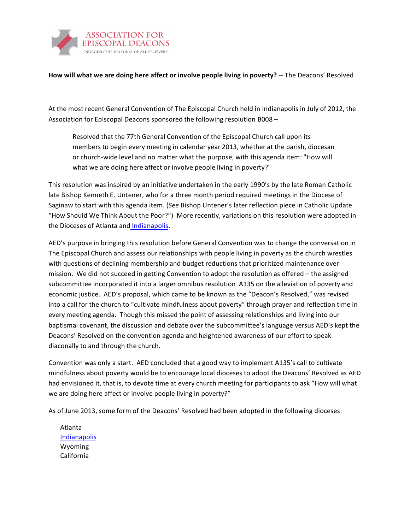

**How will what we are doing here affect or involve people living in poverty?** -- The Deacons' Resolved

At the most recent General Convention of The Episcopal Church held in Indianapolis in July of 2012, the Association for Episcopal Deacons sponsored the following resolution B008 –

Resolved that the 77th General Convention of the Episcopal Church call upon its members to begin every meeting in calendar year 2013, whether at the parish, diocesan or church-wide level and no matter what the purpose, with this agenda item: "How will what we are doing here affect or involve people living in poverty?"

This resolution was inspired by an initiative undertaken in the early 1990's by the late Roman Catholic late Bishop Kenneth E. Untener, who for a three month period required meetings in the Diocese of Saginaw to start with this agenda item. (See Bishop Untener's later reflection piece in Catholic Update "How Should We Think About the Poor?") More recently, variations on this resolution were adopted in the Dioceses of Atlanta and [Indianapolis.](http://www.deacons.indydio.org/index.php?option=com_content&view=article&id=53&Itemid=59)

AED's purpose in bringing this resolution before General Convention was to change the conversation in The Episcopal Church and assess our relationships with people living in poverty as the church wrestles with questions of declining membership and budget reductions that prioritized maintenance over mission. We did not succeed in getting Convention to adopt the resolution as offered - the assigned subcommittee incorporated it into a larger omnibus resolution A135 on the alleviation of poverty and economic justice. AED's proposal, which came to be known as the "Deacon's Resolved," was revised into a call for the church to "cultivate mindfulness about poverty" through prayer and reflection time in every meeting agenda. Though this missed the point of assessing relationships and living into our baptismal covenant, the discussion and debate over the subcommittee's language versus AED's kept the Deacons' Resolved on the convention agenda and heightened awareness of our effort to speak diaconally to and through the church.

Convention was only a start. AED concluded that a good way to implement A135's call to cultivate mindfulness about poverty would be to encourage local dioceses to adopt the Deacons' Resolved as AED had envisioned it, that is, to devote time at every church meeting for participants to ask "How will what we are doing here affect or involve people living in poverty?"

As of June 2013, some form of the Deacons' Resolved had been adopted in the following dioceses:

Atlanta **[Indianapolis](http://www.deacons.indydio.org/index.php?option=com_content&view=article&id=53&Itemid=59)** Wyoming California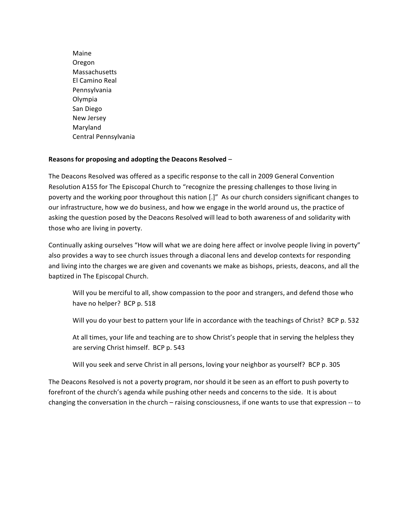Maine Oregon Massachusetts El Camino Real Pennsylvania Olympia San Diego New Jersey Maryland Central Pennsylvania

## **Reasons for proposing and adopting the Deacons Resolved** –

The Deacons Resolved was offered as a specific response to the call in 2009 General Convention Resolution A155 for The Episcopal Church to "recognize the pressing challenges to those living in poverty and the working poor throughout this nation [.]" As our church considers significant changes to our infrastructure, how we do business, and how we engage in the world around us, the practice of asking the question posed by the Deacons Resolved will lead to both awareness of and solidarity with those who are living in poverty.

Continually asking ourselves "How will what we are doing here affect or involve people living in poverty" also provides a way to see church issues through a diaconal lens and develop contexts for responding and living into the charges we are given and covenants we make as bishops, priests, deacons, and all the baptized in The Episcopal Church.

Will you be merciful to all, show compassion to the poor and strangers, and defend those who have no helper? BCP p. 518

Will you do your best to pattern your life in accordance with the teachings of Christ? BCP p. 532

At all times, your life and teaching are to show Christ's people that in serving the helpless they are serving Christ himself. BCP p. 543

Will you seek and serve Christ in all persons, loving your neighbor as yourself? BCP p. 305

The Deacons Resolved is not a poverty program, nor should it be seen as an effort to push poverty to forefront of the church's agenda while pushing other needs and concerns to the side. It is about changing the conversation in the church – raising consciousness, if one wants to use that expression -- to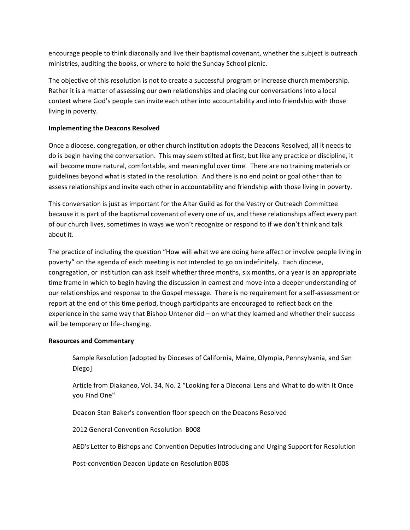encourage people to think diaconally and live their baptismal covenant, whether the subject is outreach ministries, auditing the books, or where to hold the Sunday School picnic.

The objective of this resolution is not to create a successful program or increase church membership. Rather it is a matter of assessing our own relationships and placing our conversations into a local context where God's people can invite each other into accountability and into friendship with those living in poverty.

## **Implementing the Deacons Resolved**

Once a diocese, congregation, or other church institution adopts the Deacons Resolved, all it needs to do is begin having the conversation. This may seem stilted at first, but like any practice or discipline, it will become more natural, comfortable, and meaningful over time. There are no training materials or guidelines beyond what is stated in the resolution. And there is no end point or goal other than to assess relationships and invite each other in accountability and friendship with those living in poverty.

This conversation is just as important for the Altar Guild as for the Vestry or Outreach Committee because it is part of the baptismal covenant of every one of us, and these relationships affect every part of our church lives, sometimes in ways we won't recognize or respond to if we don't think and talk about it.

The practice of including the question "How will what we are doing here affect or involve people living in poverty" on the agenda of each meeting is not intended to go on indefinitely. Each diocese, congregation, or institution can ask itself whether three months, six months, or a year is an appropriate time frame in which to begin having the discussion in earnest and move into a deeper understanding of our relationships and response to the Gospel message. There is no requirement for a self-assessment or report at the end of this time period, though participants are encouraged to reflect back on the experience in the same way that Bishop Untener did – on what they learned and whether their success will be temporary or life-changing.

## **Resources and Commentary**

Sample Resolution [adopted by Dioceses of California, Maine, Olympia, Pennsylvania, and San Diego]

Article from Diakaneo, Vol. 34, No. 2 "Looking for a Diaconal Lens and What to do with It Once you Find One"

Deacon Stan Baker's convention floor speech on the Deacons Resolved

2012 General Convention Resolution B008

AED's Letter to Bishops and Convention Deputies Introducing and Urging Support for Resolution

Post-convention Deacon Update on Resolution B008